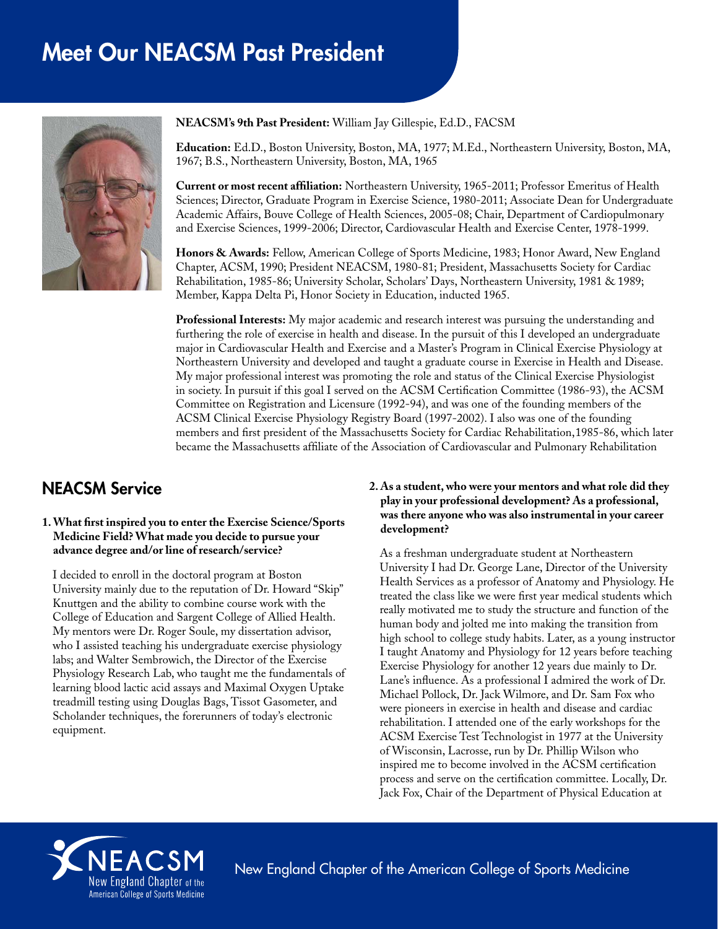# Meet Our NEACSM Past President



**NEACSM's 9th Past President:** William Jay Gillespie, Ed.D., FACSM

**Education:** Ed.D., Boston University, Boston, MA, 1977; M.Ed., Northeastern University, Boston, MA, 1967; B.S., Northeastern University, Boston, MA, 1965

**Current or most recent affiliation:** Northeastern University, 1965-2011; Professor Emeritus of Health Sciences; Director, Graduate Program in Exercise Science, 1980-2011; Associate Dean for Undergraduate Academic Affairs, Bouve College of Health Sciences, 2005-08; Chair, Department of Cardiopulmonary and Exercise Sciences, 1999-2006; Director, Cardiovascular Health and Exercise Center, 1978-1999.

**Honors & Awards:** Fellow, American College of Sports Medicine, 1983; Honor Award, New England Chapter, ACSM, 1990; President NEACSM, 1980-81; President, Massachusetts Society for Cardiac Rehabilitation, 1985-86; University Scholar, Scholars' Days, Northeastern University, 1981 & 1989; Member, Kappa Delta Pi, Honor Society in Education, inducted 1965.

**Professional Interests:** My major academic and research interest was pursuing the understanding and furthering the role of exercise in health and disease. In the pursuit of this I developed an undergraduate major in Cardiovascular Health and Exercise and a Master's Program in Clinical Exercise Physiology at Northeastern University and developed and taught a graduate course in Exercise in Health and Disease. My major professional interest was promoting the role and status of the Clinical Exercise Physiologist in society. In pursuit if this goal I served on the ACSM Certification Committee (1986-93), the ACSM Committee on Registration and Licensure (1992-94), and was one of the founding members of the ACSM Clinical Exercise Physiology Registry Board (1997-2002). I also was one of the founding members and first president of the Massachusetts Society for Cardiac Rehabilitation,1985-86, which later became the Massachusetts affiliate of the Association of Cardiovascular and Pulmonary Rehabilitation

## NEACSM Service

#### **1. What first inspired you to enter the Exercise Science/Sports Medicine Field? What made you decide to pursue your advance degree and/or line of research/service?**

I decided to enroll in the doctoral program at Boston University mainly due to the reputation of Dr. Howard "Skip" Knuttgen and the ability to combine course work with the College of Education and Sargent College of Allied Health. My mentors were Dr. Roger Soule, my dissertation advisor, who I assisted teaching his undergraduate exercise physiology labs; and Walter Sembrowich, the Director of the Exercise Physiology Research Lab, who taught me the fundamentals of learning blood lactic acid assays and Maximal Oxygen Uptake treadmill testing using Douglas Bags, Tissot Gasometer, and Scholander techniques, the forerunners of today's electronic equipment.

#### **2. As a student, who were your mentors and what role did they play in your professional development? As a professional, was there anyone who was also instrumental in your career development?**

As a freshman undergraduate student at Northeastern University I had Dr. George Lane, Director of the University Health Services as a professor of Anatomy and Physiology. He treated the class like we were first year medical students which really motivated me to study the structure and function of the human body and jolted me into making the transition from high school to college study habits. Later, as a young instructor I taught Anatomy and Physiology for 12 years before teaching Exercise Physiology for another 12 years due mainly to Dr. Lane's influence. As a professional I admired the work of Dr. Michael Pollock, Dr. Jack Wilmore, and Dr. Sam Fox who were pioneers in exercise in health and disease and cardiac rehabilitation. I attended one of the early workshops for the ACSM Exercise Test Technologist in 1977 at the University of Wisconsin, Lacrosse, run by Dr. Phillip Wilson who inspired me to become involved in the ACSM certification process and serve on the certification committee. Locally, Dr. Jack Fox, Chair of the Department of Physical Education at



New England Chapter of the American College of Sports Medicine